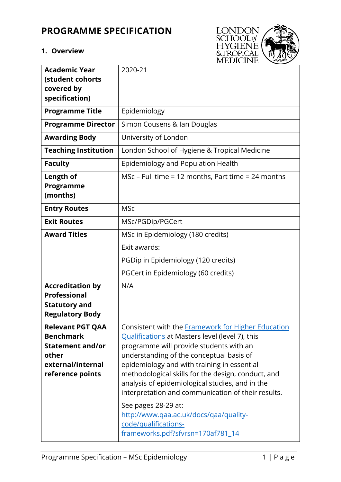# **PROGRAMME SPECIFICATION**

#### **1. Overview**



| <b>Academic Year</b>                        | 2020-21                                                                                           |
|---------------------------------------------|---------------------------------------------------------------------------------------------------|
| (student cohorts<br>covered by              |                                                                                                   |
| specification)                              |                                                                                                   |
| <b>Programme Title</b>                      | Epidemiology                                                                                      |
| <b>Programme Director</b>                   | Simon Cousens & Ian Douglas                                                                       |
| <b>Awarding Body</b>                        | University of London                                                                              |
| <b>Teaching Institution</b>                 | London School of Hygiene & Tropical Medicine                                                      |
| <b>Faculty</b>                              | Epidemiology and Population Health                                                                |
| Length of                                   | MSc – Full time = 12 months, Part time = 24 months                                                |
| Programme<br>(months)                       |                                                                                                   |
| <b>Entry Routes</b>                         | <b>MSc</b>                                                                                        |
| <b>Exit Routes</b>                          | MSc/PGDip/PGCert                                                                                  |
| <b>Award Titles</b>                         | MSc in Epidemiology (180 credits)                                                                 |
|                                             | Exit awards:                                                                                      |
|                                             | PGDip in Epidemiology (120 credits)                                                               |
|                                             | PGCert in Epidemiology (60 credits)                                                               |
| <b>Accreditation by</b>                     | N/A                                                                                               |
| <b>Professional</b><br><b>Statutory and</b> |                                                                                                   |
| <b>Regulatory Body</b>                      |                                                                                                   |
| <b>Relevant PGT QAA</b>                     | Consistent with the <b>Framework</b> for Higher Education                                         |
| <b>Benchmark</b>                            | Qualifications at Masters level (level 7), this                                                   |
| <b>Statement and/or</b>                     | programme will provide students with an                                                           |
| other<br>external/internal                  | understanding of the conceptual basis of                                                          |
| reference points                            | epidemiology and with training in essential<br>methodological skills for the design, conduct, and |
|                                             | analysis of epidemiological studies, and in the                                                   |
|                                             | interpretation and communication of their results.                                                |
|                                             | See pages 28-29 at:                                                                               |
|                                             | http://www.qaa.ac.uk/docs/qaa/quality-                                                            |
|                                             | code/qualifications-                                                                              |
|                                             | frameworks.pdf?sfvrsn=170af781_14                                                                 |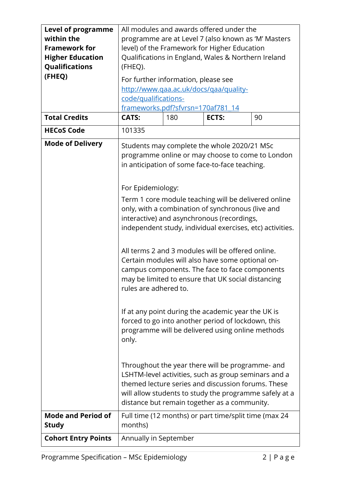| <b>Level of programme</b><br>within the<br><b>Framework for</b><br><b>Higher Education</b> | All modules and awards offered under the<br>programme are at Level 7 (also known as 'M' Masters<br>level) of the Framework for Higher Education<br>Qualifications in England, Wales & Northern Ireland                                                                                                                                                                                                                                                                                                                                                                             |     |                                                       |    |
|--------------------------------------------------------------------------------------------|------------------------------------------------------------------------------------------------------------------------------------------------------------------------------------------------------------------------------------------------------------------------------------------------------------------------------------------------------------------------------------------------------------------------------------------------------------------------------------------------------------------------------------------------------------------------------------|-----|-------------------------------------------------------|----|
| Qualifications<br>(FHEQ)                                                                   | (FHEQ).<br>For further information, please see<br>http://www.qaa.ac.uk/docs/qaa/quality-<br>code/qualifications-                                                                                                                                                                                                                                                                                                                                                                                                                                                                   |     |                                                       |    |
| <b>Total Credits</b>                                                                       | frameworks.pdf?sfvrsn=170af781_14<br><b>CATS:</b>                                                                                                                                                                                                                                                                                                                                                                                                                                                                                                                                  | 180 | ECTS:                                                 | 90 |
| <b>HECoS Code</b>                                                                          | 101335                                                                                                                                                                                                                                                                                                                                                                                                                                                                                                                                                                             |     |                                                       |    |
| <b>Mode of Delivery</b>                                                                    | Students may complete the whole 2020/21 MSc<br>programme online or may choose to come to London<br>in anticipation of some face-to-face teaching.<br>For Epidemiology:<br>Term 1 core module teaching will be delivered online<br>only, with a combination of synchronous (live and<br>interactive) and asynchronous (recordings,<br>independent study, individual exercises, etc) activities.<br>All terms 2 and 3 modules will be offered online.<br>Certain modules will also have some optional on-                                                                            |     |                                                       |    |
|                                                                                            | campus components. The face to face components<br>may be limited to ensure that UK social distancing<br>rules are adhered to.<br>If at any point during the academic year the UK is<br>forced to go into another period of lockdown, this<br>programme will be delivered using online methods<br>only.<br>Throughout the year there will be programme- and<br>LSHTM-level activities, such as group seminars and a<br>themed lecture series and discussion forums. These<br>will allow students to study the programme safely at a<br>distance but remain together as a community. |     |                                                       |    |
| <b>Mode and Period of</b><br><b>Study</b>                                                  | months)                                                                                                                                                                                                                                                                                                                                                                                                                                                                                                                                                                            |     | Full time (12 months) or part time/split time (max 24 |    |
| <b>Cohort Entry Points</b>                                                                 | Annually in September                                                                                                                                                                                                                                                                                                                                                                                                                                                                                                                                                              |     |                                                       |    |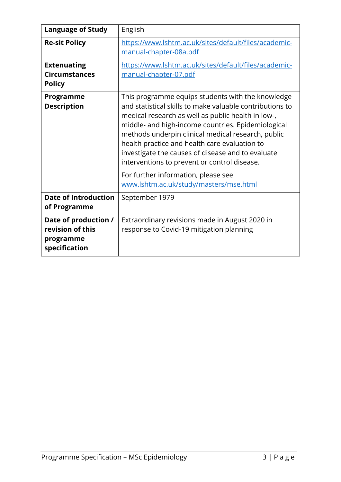| <b>Language of Study</b>                                               | English                                                                                                                                                                                                                                                                                                                                                                                                                                                                                                                |
|------------------------------------------------------------------------|------------------------------------------------------------------------------------------------------------------------------------------------------------------------------------------------------------------------------------------------------------------------------------------------------------------------------------------------------------------------------------------------------------------------------------------------------------------------------------------------------------------------|
| <b>Re-sit Policy</b>                                                   | https://www.lshtm.ac.uk/sites/default/files/academic-<br>manual-chapter-08a.pdf                                                                                                                                                                                                                                                                                                                                                                                                                                        |
| <b>Extenuating</b><br><b>Circumstances</b><br><b>Policy</b>            | https://www.lshtm.ac.uk/sites/default/files/academic-<br>manual-chapter-07.pdf                                                                                                                                                                                                                                                                                                                                                                                                                                         |
| Programme<br><b>Description</b>                                        | This programme equips students with the knowledge<br>and statistical skills to make valuable contributions to<br>medical research as well as public health in low-,<br>middle- and high-income countries. Epidemiological<br>methods underpin clinical medical research, public<br>health practice and health care evaluation to<br>investigate the causes of disease and to evaluate<br>interventions to prevent or control disease.<br>For further information, please see<br>www.lshtm.ac.uk/study/masters/mse.html |
| <b>Date of Introduction</b><br>of Programme                            | September 1979                                                                                                                                                                                                                                                                                                                                                                                                                                                                                                         |
| Date of production /<br>revision of this<br>programme<br>specification | Extraordinary revisions made in August 2020 in<br>response to Covid-19 mitigation planning                                                                                                                                                                                                                                                                                                                                                                                                                             |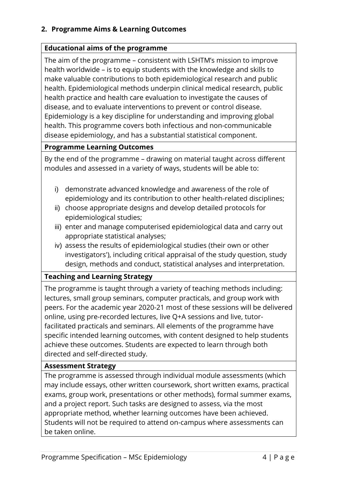# **2. Programme Aims & Learning Outcomes**

## **Educational aims of the programme**

The aim of the programme – consistent with LSHTM's mission to improve health worldwide – is to equip students with the knowledge and skills to make valuable contributions to both epidemiological research and public health. Epidemiological methods underpin clinical medical research, public health practice and health care evaluation to investigate the causes of disease, and to evaluate interventions to prevent or control disease. Epidemiology is a key discipline for understanding and improving global health. This programme covers both infectious and non-communicable disease epidemiology, and has a substantial statistical component.

## **Programme Learning Outcomes**

By the end of the programme – drawing on material taught across different modules and assessed in a variety of ways, students will be able to:

- i) demonstrate advanced knowledge and awareness of the role of epidemiology and its contribution to other health-related disciplines;
- ii) choose appropriate designs and develop detailed protocols for epidemiological studies;
- iii) enter and manage computerised epidemiological data and carry out appropriate statistical analyses;
- iv) assess the results of epidemiological studies (their own or other investigators'), including critical appraisal of the study question, study design, methods and conduct, statistical analyses and interpretation.

## **Teaching and Learning Strategy**

The programme is taught through a variety of teaching methods including: lectures, small group seminars, computer practicals, and group work with peers. For the academic year 2020-21 most of these sessions will be delivered online, using pre-recorded lectures, live Q+A sessions and live, tutorfacilitated practicals and seminars. All elements of the programme have specific intended learning outcomes, with content designed to help students achieve these outcomes. Students are expected to learn through both directed and self-directed study.

## **Assessment Strategy**

The programme is assessed through individual module assessments (which may include essays, other written coursework, short written exams, practical exams, group work, presentations or other methods), formal summer exams, and a project report. Such tasks are designed to assess, via the most appropriate method, whether learning outcomes have been achieved. Students will not be required to attend on-campus where assessments can be taken online.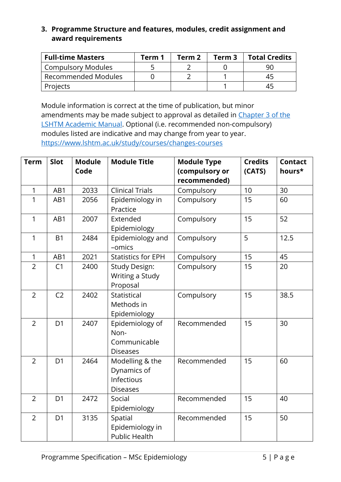# **3. Programme Structure and features, modules, credit assignment and award requirements**

| <b>Full-time Masters</b> | Term 1 | Term 2 | Term 3 | <b>Total Credits</b> |
|--------------------------|--------|--------|--------|----------------------|
| Compulsory Modules       |        |        |        | 90                   |
| Recommended Modules      |        |        |        |                      |
| Projects                 |        |        |        |                      |

Module information is correct at the time of publication, but minor amendments may be made subject to approval as detailed in [Chapter 3 of the](https://www.lshtm.ac.uk/sites/default/files/academic-manual-chapter-03.pdf)  [LSHTM Academic Manual.](https://www.lshtm.ac.uk/sites/default/files/academic-manual-chapter-03.pdf) Optional (i.e. recommended non-compulsory) modules listed are indicative and may change from year to year. <https://www.lshtm.ac.uk/study/courses/changes-courses>

| <b>Term</b>    | Slot           | <b>Module</b><br>Code | <b>Module Title</b>                                             | <b>Module Type</b><br>(compulsory or<br>recommended) | <b>Credits</b><br>(CATS) | <b>Contact</b><br>hours* |
|----------------|----------------|-----------------------|-----------------------------------------------------------------|------------------------------------------------------|--------------------------|--------------------------|
| 1              | AB1            | 2033                  | <b>Clinical Trials</b>                                          | Compulsory                                           | 10                       | 30                       |
| 1              | AB1            | 2056                  | Epidemiology in<br>Practice                                     | Compulsory                                           | 15                       | 60                       |
| 1              | AB1            | 2007                  | Extended<br>Epidemiology                                        | Compulsory                                           | 15                       | 52                       |
| $\mathbf{1}$   | <b>B1</b>      | 2484                  | Epidemiology and<br>-omics                                      | Compulsory                                           | 5                        | 12.5                     |
| $\mathbf{1}$   | AB1            | 2021                  | <b>Statistics for EPH</b>                                       | Compulsory                                           | 15                       | 45                       |
| $\overline{2}$ | C <sub>1</sub> | 2400                  | <b>Study Design:</b><br>Writing a Study<br>Proposal             | Compulsory                                           | 15                       | 20                       |
| $\overline{2}$ | C <sub>2</sub> | 2402                  | Statistical<br>Methods in<br>Epidemiology                       | Compulsory                                           | 15                       | 38.5                     |
| $\overline{2}$ | D <sub>1</sub> | 2407                  | Epidemiology of<br>Non-<br>Communicable<br><b>Diseases</b>      | Recommended                                          | 15                       | 30                       |
| $\overline{2}$ | D <sub>1</sub> | 2464                  | Modelling & the<br>Dynamics of<br>Infectious<br><b>Diseases</b> | Recommended                                          | 15                       | 60                       |
| $\overline{2}$ | D <sub>1</sub> | 2472                  | Social<br>Epidemiology                                          | Recommended                                          | 15                       | 40                       |
| $\overline{2}$ | D <sub>1</sub> | 3135                  | Spatial<br>Epidemiology in<br><b>Public Health</b>              | Recommended                                          | 15                       | 50                       |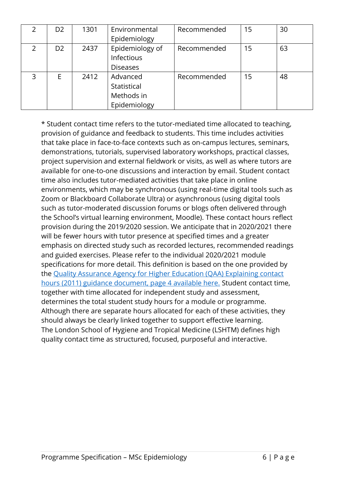|   | D <sub>2</sub> | 1301 | Environmental<br>Epidemiology                         | Recommended | 15 | 30 |
|---|----------------|------|-------------------------------------------------------|-------------|----|----|
|   | D <sub>2</sub> | 2437 | Epidemiology of<br>Infectious<br><b>Diseases</b>      | Recommended | 15 | 63 |
| 3 | E              | 2412 | Advanced<br>Statistical<br>Methods in<br>Epidemiology | Recommended | 15 | 48 |

\* Student contact time refers to the tutor-mediated time allocated to teaching, provision of guidance and feedback to students. This time includes activities that take place in face-to-face contexts such as on-campus lectures, seminars, demonstrations, tutorials, supervised laboratory workshops, practical classes, project supervision and external fieldwork or visits, as well as where tutors are available for one-to-one discussions and interaction by email. Student contact time also includes tutor-mediated activities that take place in online environments, which may be synchronous (using real-time digital tools such as Zoom or Blackboard Collaborate Ultra) or asynchronous (using digital tools such as tutor-moderated discussion forums or blogs often delivered through the School's virtual learning environment, Moodle). These contact hours reflect provision during the 2019/2020 session. We anticipate that in 2020/2021 there will be fewer hours with tutor presence at specified times and a greater emphasis on directed study such as recorded lectures, recommended readings and guided exercises. Please refer to the individual 2020/2021 module specifications for more detail. This definition is based on the one provided by the [Quality Assurance Agency for Higher Education \(QAA\) Explaining contact](https://www.qaa.ac.uk/docs/qaa/quality-code/contact-hours-guidance.pdf)  [hours \(2011\) guidance document, page 4 available here.](https://www.qaa.ac.uk/docs/qaa/quality-code/contact-hours-guidance.pdf) Student contact time, together with time allocated for independent study and assessment, determines the total student study hours for a module or programme. Although there are separate hours allocated for each of these activities, they should always be clearly linked together to support effective learning. The London School of Hygiene and Tropical Medicine (LSHTM) defines high quality contact time as structured, focused, purposeful and interactive.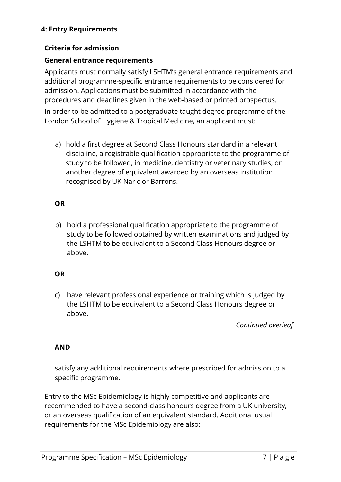#### **Criteria for admission**

#### **General entrance requirements**

Applicants must normally satisfy LSHTM's general entrance requirements and additional programme-specific entrance requirements to be considered for admission. Applications must be submitted in accordance with the procedures and deadlines given in the web-based or printed prospectus.

In order to be admitted to a postgraduate taught degree programme of the London School of Hygiene & Tropical Medicine, an applicant must:

a) hold a first degree at Second Class Honours standard in a relevant discipline, a registrable qualification appropriate to the programme of study to be followed, in medicine, dentistry or veterinary studies, or another degree of equivalent awarded by an overseas institution recognised by UK Naric or Barrons.

# **OR**

b) hold a professional qualification appropriate to the programme of study to be followed obtained by written examinations and judged by the LSHTM to be equivalent to a Second Class Honours degree or above.

## **OR**

c) have relevant professional experience or training which is judged by the LSHTM to be equivalent to a Second Class Honours degree or above.

*Continued overleaf*

## **AND**

satisfy any additional requirements where prescribed for admission to a specific programme.

Entry to the MSc Epidemiology is highly competitive and applicants are recommended to have a second-class honours degree from a UK university, or an overseas qualification of an equivalent standard. Additional usual requirements for the MSc Epidemiology are also: